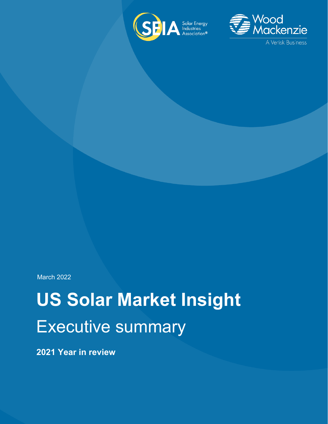



March 2022

# **US Solar Market Insight** Executive summary

**2021 Year in review**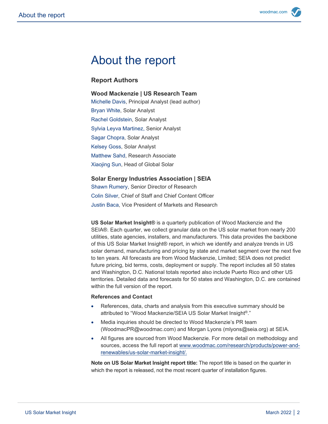# About the report

#### **Report Authors**

#### **Wood Mackenzie | US Research Team**

Michelle Davis, Principal Analyst (lead author) Bryan White, Solar Analyst Rachel Goldstein, Solar Analyst Sylvia Leyva Martinez, Senior Analyst Sagar Chopra, Solar Analyst Kelsey Goss, Solar Analyst Matthew Sahd, Research Associate Xiaojing Sun, Head of Global Solar

#### **Solar Energy Industries Association | SEIA**

Shawn Rumery, Senior Director of Research Colin Silver, Chief of Staff and Chief Content Officer Justin Baca, Vice President of Markets and Research

**US Solar Market Insight®** is a quarterly publication of Wood Mackenzie and the SEIA®. Each quarter, we collect granular data on the US solar market from nearly 200 utilities, state agencies, installers, and manufacturers. This data provides the backbone of this US Solar Market Insight® report, in which we identify and analyze trends in US solar demand, manufacturing and pricing by state and market segment over the next five to ten years. All forecasts are from Wood Mackenzie, Limited; SEIA does not predict future pricing, bid terms, costs, deployment or supply. The report includes all 50 states and Washington, D.C. National totals reported also include Puerto Rico and other US territories. Detailed data and forecasts for 50 states and Washington, D.C. are contained within the full version of the report.

#### **References and Contact**

- References, data, charts and analysis from this executive summary should be attributed to "Wood Mackenzie/SEIA US Solar Market Insight®."
- Media inquiries should be directed to Wood Mackenzie's PR team (WoodmacPR@woodmac.com) and Morgan Lyons (mlyons@seia.org) at SEIA.
- All figures are sourced from Wood Mackenzie. For more detail on methodology and sources, access the full report at [www.woodmac.com/research/products/power-and](http://www.woodmac.com/research/products/power-and-renewables/us-solar-market-insight/)[renewables/us-solar-market-insight/.](http://www.woodmac.com/research/products/power-and-renewables/us-solar-market-insight/)

**Note on US Solar Market Insight report title:** The report title is based on the quarter in which the report is released, not the most recent quarter of installation figures.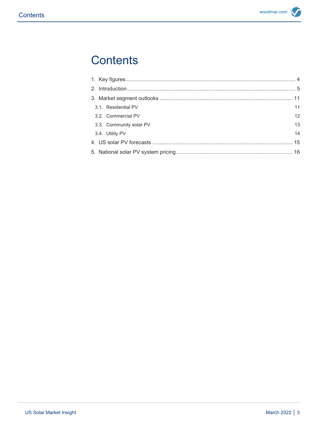# **Contents**

| 3.1. Residential PV     | 11 |
|-------------------------|----|
| 3.2. Commercial PV      | 12 |
| 3.3. Community solar PV | 13 |
| 3.4. Utility PV         | 14 |
|                         |    |
|                         |    |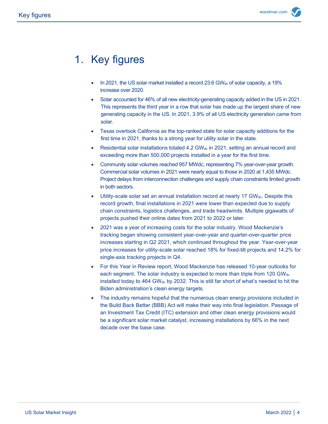# <span id="page-3-0"></span>1. Key figures

- In 2021, the US solar market installed a record 23.6 GW<sub>dc</sub> of solar capacity, a 19% increase over 2020.
- Solar accounted for 46% of all new electricity-generating capacity added in the US in 2021. This represents the third year in a row that solar has made up the largest share of new generating capacity in the US. In 2021, 3.9% of all US electricity generation came from solar.
- Texas overtook California as the top-ranked state for solar capacity additions for the first time in 2021, thanks to a strong year for utility solar in the state.
- Residential solar installations totaled 4.2 GW $_{dc}$  in 2021, setting an annual record and exceeding more than 500,000 projects installed in a year for the first time.
- Community solar volumes reached 957 MWdc, representing 7% year-over-year growth. Commercial solar volumes in 2021 were nearly equal to those in 2020 at 1,435 MWdc. Project delays from interconnection challenges and supply chain constraints limited growth in both sectors.
- Utility-scale solar set an annual installation record at nearly 17 GWdc. Despite this record growth, final installations in 2021 were lower than expected due to supply chain constraints, logistics challenges, and trade headwinds. Multiple gigawatts of projects pushed their online dates from 2021 to 2022 or later.
- 2021 was a year of increasing costs for the solar industry. Wood Mackenzie's tracking began showing consistent year-over-year and quarter-over-quarter price increases starting in Q2 2021, which continued throughout the year. Year-over-year price increases for utility-scale solar reached 18% for fixed-tilt projects and 14.2% for single-axis tracking projects in Q4.
- For this Year in Review report, Wood Mackenzie has released 10-year outlooks for each segment. The solar industry is expected to more than triple from 120 GWdc installed today to 464 GW $_{dc}$  by 2032. This is still far short of what's needed to hit the Biden administration's clean energy targets.
- The industry remains hopeful that the numerous clean energy provisions included in the Build Back Better (BBB) Act will make their way into final legislation. Passage of an Investment Tax Credit (ITC) extension and other clean energy provisions would be a significant solar market catalyst, increasing installations by 66% in the next decade over the base case.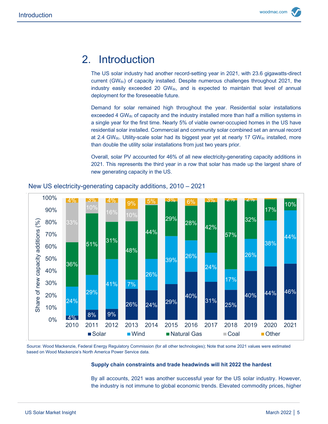## <span id="page-4-0"></span>2. Introduction

The US solar industry had another record-setting year in 2021, with 23.6 gigawatts-direct current  $(GW_{dc})$  of capacity installed. Despite numerous challenges throughout 2021, the industry easily exceeded 20 GWdc, and is expected to maintain that level of annual deployment for the foreseeable future.

Demand for solar remained high throughout the year. Residential solar installations exceeded 4 GW<sub>dc</sub> of capacity and the industry installed more than half a million systems in a single year for the first time. Nearly 5% of viable owner-occupied homes in the US have residential solar installed. Commercial and community solar combined set an annual record at 2.4 GWdc. Utility-scale solar had its biggest year yet at nearly 17 GW $_{dc}$  installed, more than double the utility solar installations from just two years prior.

Overall, solar PV accounted for 46% of all new electricity-generating capacity additions in 2021. This represents the third year in a row that solar has made up the largest share of new generating capacity in the US.



#### New US electricity-generating capacity additions, 2010 – 2021

Source: Wood Mackenzie, Federal Energy Regulatory Commission (for all other technologies); Note that some 2021 values were estimated based on Wood Mackenzie's North America Power Service data.

#### **Supply chain constraints and trade headwinds will hit 2022 the hardest**

By all accounts, 2021 was another successful year for the US solar industry. However, the industry is not immune to global economic trends. Elevated commodity prices, higher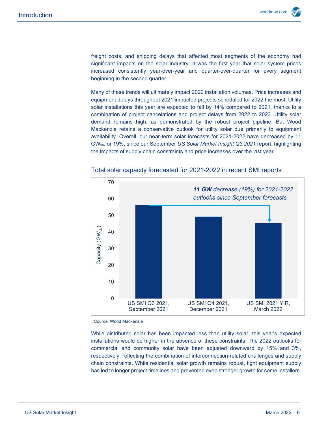freight costs, and shipping delays that affected most segments of the economy had significant impacts on the solar industry. It was the first year that solar system prices increased consistently year-over-year and quarter-over-quarter for every segment beginning in the second quarter.

Many of these trends will ultimately impact 2022 installation volumes. Price increases and equipment delays throughout 2021 impacted projects scheduled for 2022 the most. Utility solar installations this year are expected to fall by 14% compared to 2021, thanks to a combination of project cancelations and project delays from 2022 to 2023. Utility solar demand remains high, as demonstrated by the robust project pipeline. But Wood Mackenzie retains a conservative outlook for utility solar due primarily to equipment availability. Overall, our near-term solar forecasts for 2021-2022 have decreased by 11 GWdc, or 19%, since our September *US Solar Market Insight Q3 2021* report, highlighting the impacts of supply chain constraints and price increases over the last year.



Total solar capacity forecasted for 2021-2022 in recent SMI reports

Source: Wood Mackenzie

While distributed solar has been impacted less than utility solar, this year's expected installations would be higher in the absence of these constraints. The 2022 outlooks for commercial and community solar have been adjusted downward by 15% and 3%, respectively, reflecting the combination of interconnection-related challenges and supply chain constraints. While residential solar growth remains robust, tight equipment supply has led to longer project timelines and prevented even stronger growth for some installers.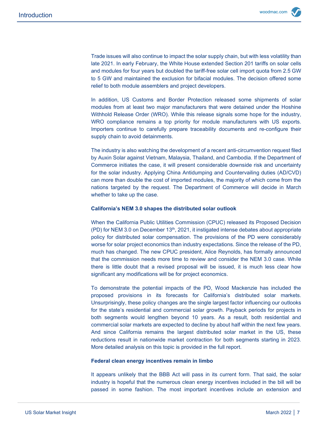Trade issues will also continue to impact the solar supply chain, but with less volatility than late 2021. In early February, the White House extended Section 201 tariffs on solar cells and modules for four years but doubled the tariff-free solar cell import quota from 2.5 GW to 5 GW and maintained the exclusion for bifacial modules. The decision offered some relief to both module assemblers and project developers.

In addition, US Customs and Border Protection released some shipments of solar modules from at least two major manufacturers that were detained under the Hoshine Withhold Release Order (WRO). While this release signals some hope for the industry, WRO compliance remains a top priority for module manufacturers with US exports. Importers continue to carefully prepare traceability documents and re-configure their supply chain to avoid detainments.

The industry is also watching the development of a recent anti-circumvention request filed by Auxin Solar against Vietnam, Malaysia, Thailand, and Cambodia. If the Department of Commerce initiates the case, it will present considerable downside risk and uncertainty for the solar industry. Applying China Antidumping and Countervailing duties (AD/CVD) can more than double the cost of imported modules, the majority of which come from the nations targeted by the request. The Department of Commerce will decide in March whether to take up the case.

#### **California's NEM 3.0 shapes the distributed solar outlook**

When the California Public Utilities Commission (CPUC) released its Proposed Decision (PD) for NEM 3.0 on December 13th, 2021, it instigated intense debates about appropriate policy for distributed solar compensation. The provisions of the PD were considerably worse for solar project economics than industry expectations. Since the release of the PD, much has changed. The new CPUC president, Alice Reynolds, has formally announced that the commission needs more time to review and consider the NEM 3.0 case. While there is little doubt that a revised proposal will be issued, it is much less clear how significant any modifications will be for project economics.

To demonstrate the potential impacts of the PD, Wood Mackenzie has included the proposed provisions in its forecasts for California's distributed solar markets. Unsurprisingly, these policy changes are the single largest factor influencing our outlooks for the state's residential and commercial solar growth. Payback periods for projects in both segments would lengthen beyond 10 years. As a result, both residential and commercial solar markets are expected to decline by about half within the next few years. And since California remains the largest distributed solar market in the US, these reductions result in nationwide market contraction for both segments starting in 2023. More detailed analysis on this topic is provided in the full report.

#### **Federal clean energy incentives remain in limbo**

It appears unlikely that the BBB Act will pass in its current form. That said, the solar industry is hopeful that the numerous clean energy incentives included in the bill will be passed in some fashion. The most important incentives include an extension and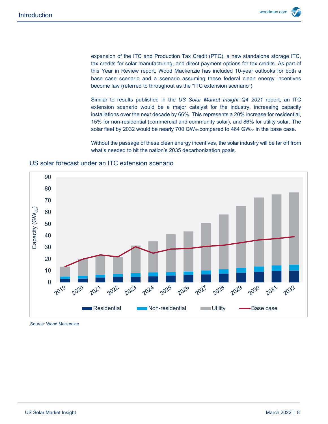expansion of the ITC and Production Tax Credit (PTC), a new standalone storage ITC, tax credits for solar manufacturing, and direct payment options for tax credits. As part of this Year in Review report, Wood Mackenzie has included 10-year outlooks for both a base case scenario and a scenario assuming these federal clean energy incentives become law (referred to throughout as the "ITC extension scenario").

Similar to results published in the *US Solar Market Insight Q4 2021* report, an ITC extension scenario would be a major catalyst for the industry, increasing capacity installations over the next decade by 66%. This represents a 20% increase for residential, 15% for non-residential (commercial and community solar), and 86% for utility solar. The solar fleet by 2032 would be nearly 700 GW $_{dc}$  compared to 464 GW $_{dc}$  in the base case.

Without the passage of these clean energy incentives, the solar industry will be far off from what's needed to hit the nation's 2035 decarbonization goals.



#### US solar forecast under an ITC extension scenario

Source: Wood Mackenzie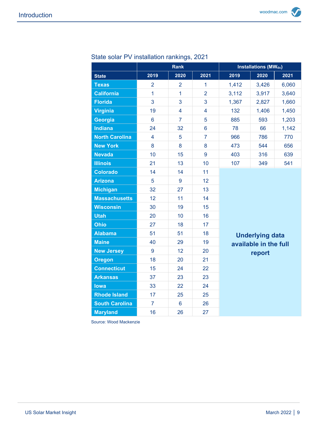|                       | <b>Rank</b>     |                |                | <b>Installations (MWdc)</b>                               |       |       |  |  |  |
|-----------------------|-----------------|----------------|----------------|-----------------------------------------------------------|-------|-------|--|--|--|
| <b>State</b>          | 2019            | 2020           | 2021           | 2019                                                      | 2020  | 2021  |  |  |  |
| <b>Texas</b>          | $\overline{2}$  | $\overline{2}$ | $\mathbf{1}$   | 1,412                                                     | 3,426 | 6,060 |  |  |  |
| <b>California</b>     | 1               | $\overline{1}$ | $\overline{2}$ | 3,112                                                     | 3,917 | 3,640 |  |  |  |
| <b>Florida</b>        | 3               | 3              | 3              | 1,367                                                     | 2,827 | 1,660 |  |  |  |
| <b>Virginia</b>       | 19              | $\overline{4}$ | $\overline{4}$ | 132                                                       | 1,406 | 1,450 |  |  |  |
| Georgia               | $6\phantom{1}6$ | $\overline{7}$ | 5              | 885                                                       | 593   | 1,203 |  |  |  |
| <b>Indiana</b>        | 24              | 32             | $6\phantom{a}$ | 78                                                        | 66    | 1,142 |  |  |  |
| <b>North Carolina</b> | $\overline{4}$  | 5              | $\overline{7}$ | 966                                                       | 786   | 770   |  |  |  |
| <b>New York</b>       | 8               | 8              | 8              | 473                                                       | 544   | 656   |  |  |  |
| <b>Nevada</b>         | 10              | 15             | 9              | 403                                                       | 316   | 639   |  |  |  |
| <b>Illinois</b>       | 21              | 13             | 10             | 107                                                       | 349   | 541   |  |  |  |
| <b>Colorado</b>       | 14              | 14             | 11             |                                                           |       |       |  |  |  |
| <b>Arizona</b>        | 5               | 9              | 12             |                                                           |       |       |  |  |  |
| <b>Michigan</b>       | 32              | 27             | 13             |                                                           |       |       |  |  |  |
| <b>Massachusetts</b>  | 12              | 11             | 14             |                                                           |       |       |  |  |  |
| <b>Wisconsin</b>      | 30              | 19             | 15             |                                                           |       |       |  |  |  |
| <b>Utah</b>           | 20              | 10             | 16             |                                                           |       |       |  |  |  |
| <b>Ohio</b>           | 27              | 18             | 17             |                                                           |       |       |  |  |  |
| <b>Alabama</b>        | 51              | 51             | 18             | <b>Underlying data</b><br>available in the full<br>report |       |       |  |  |  |
| <b>Maine</b>          | 40              | 29             | 19             |                                                           |       |       |  |  |  |
| <b>New Jersey</b>     | 9               | 12             | 20             |                                                           |       |       |  |  |  |
| <b>Oregon</b>         | 18              | 20             | 21             |                                                           |       |       |  |  |  |
| <b>Connecticut</b>    | 15              | 24             | 22             |                                                           |       |       |  |  |  |
| <b>Arkansas</b>       | 37              | 23             | 23             |                                                           |       |       |  |  |  |
| <b>lowa</b>           | 33              | 22             | 24             |                                                           |       |       |  |  |  |
| <b>Rhode Island</b>   | 17              | 25             | 25             |                                                           |       |       |  |  |  |
| <b>South Carolina</b> | $\overline{7}$  | $6\phantom{a}$ | 26             |                                                           |       |       |  |  |  |
| <b>Maryland</b>       | 16              | 26             | 27             |                                                           |       |       |  |  |  |

## State solar PV installation rankings, 2021

Source: Wood Mackenzie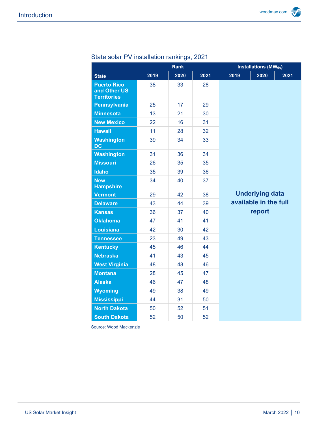|                                                          | Rank |      |      | <b>Installations (MWdc)</b> |                        |      |
|----------------------------------------------------------|------|------|------|-----------------------------|------------------------|------|
| <b>State</b>                                             | 2019 | 2020 | 2021 | 2019                        | 2020                   | 2021 |
| <b>Puerto Rico</b><br>and Other US<br><b>Territories</b> | 38   | 33   | 28   |                             |                        |      |
| <b>Pennsylvania</b>                                      | 25   | 17   | 29   |                             |                        |      |
| <b>Minnesota</b>                                         | 13   | 21   | 30   |                             |                        |      |
| <b>New Mexico</b>                                        | 22   | 16   | 31   |                             |                        |      |
| <b>Hawaii</b>                                            | 11   | 28   | 32   |                             |                        |      |
| <b>Washington</b><br><b>DC</b>                           | 39   | 34   | 33   |                             |                        |      |
| <b>Washington</b>                                        | 31   | 36   | 34   |                             |                        |      |
| <b>Missouri</b>                                          | 26   | 35   | 35   |                             |                        |      |
| <b>Idaho</b>                                             | 35   | 39   | 36   |                             |                        |      |
| <b>New</b><br><b>Hampshire</b>                           | 34   | 40   | 37   |                             |                        |      |
| <b>Vermont</b>                                           | 29   | 42   | 38   |                             | <b>Underlying data</b> |      |
| <b>Delaware</b>                                          | 43   | 44   | 39   |                             | available in the full  |      |
| <b>Kansas</b>                                            | 36   | 37   | 40   |                             | report                 |      |
| <b>Oklahoma</b>                                          | 47   | 41   | 41   |                             |                        |      |
| <b>Louisiana</b>                                         | 42   | 30   | 42   |                             |                        |      |
| <b>Tennessee</b>                                         | 23   | 49   | 43   |                             |                        |      |
| <b>Kentucky</b>                                          | 45   | 46   | 44   |                             |                        |      |
| <b>Nebraska</b>                                          | 41   | 43   | 45   |                             |                        |      |
| <b>West Virginia</b>                                     | 48   | 48   | 46   |                             |                        |      |
| <b>Montana</b>                                           | 28   | 45   | 47   |                             |                        |      |
| <b>Alaska</b>                                            | 46   | 47   | 48   |                             |                        |      |
| <b>Wyoming</b>                                           | 49   | 38   | 49   |                             |                        |      |
| <b>Mississippi</b>                                       | 44   | 31   | 50   |                             |                        |      |
| <b>North Dakota</b>                                      | 50   | 52   | 51   |                             |                        |      |
| <b>South Dakota</b>                                      | 52   | 50   | 52   |                             |                        |      |

## State solar PV installation rankings, 2021

Source: Wood Mackenzie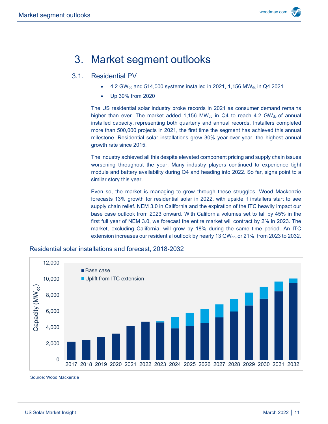# <span id="page-10-0"></span>3. Market segment outlooks

#### 3.1. Residential PV

- <span id="page-10-1"></span>4.2 GW<sub>dc</sub> and 514,000 systems installed in 2021, 1,156 MW<sub>dc</sub> in Q4 2021
- Up 30% from 2020

The US residential solar industry broke records in 2021 as consumer demand remains higher than ever. The market added 1,156 MW $_{dc}$  in Q4 to reach 4.2 GW $_{dc}$  of annual installed capacity, representing both quarterly and annual records. Installers completed more than 500,000 projects in 2021, the first time the segment has achieved this annual milestone. Residential solar installations grew 30% year-over-year, the highest annual growth rate since 2015.

The industry achieved all this despite elevated component pricing and supply chain issues worsening throughout the year. Many industry players continued to experience tight module and battery availability during Q4 and heading into 2022. So far, signs point to a similar story this year.

Even so, the market is managing to grow through these struggles. Wood Mackenzie forecasts 13% growth for residential solar in 2022, with upside if installers start to see supply chain relief. NEM 3.0 in California and the expiration of the ITC heavily impact our base case outlook from 2023 onward. With California volumes set to fall by 45% in the first full year of NEM 3.0, we forecast the entire market will contract by 2% in 2023. The market, excluding California, will grow by 18% during the same time period. An ITC extension increases our residential outlook by nearly 13 GW<sub>dc</sub>, or 21%, from 2023 to 2032.



Residential solar installations and forecast, 2018-2032

Source: Wood Mackenzie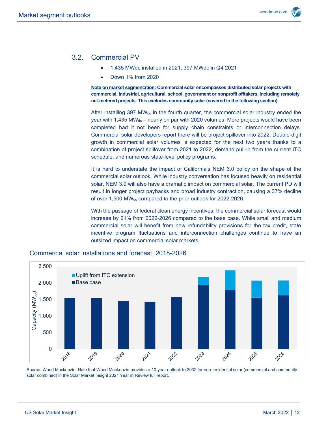#### 3.2. Commercial PV

- <span id="page-11-0"></span>• 1,435 MWdc installed in 2021, 397 MWdc in Q4 2021
- Down 1% from 2020

**Note on market segmentation: Commercial solar encompasses distributed solar projects with commercial, industrial, agricultural, school, government or nonprofit offtakers, including remotely net-metered projects. This excludes community solar (covered in the following section).**

After installing 397 MW<sub>dc</sub> in the fourth quarter, the commercial solar industry ended the year with 1,435 MWdc – nearly on par with 2020 volumes. More projects would have been completed had it not been for supply chain constraints or interconnection delays. Commercial solar developers report there will be project spillover into 2022. Double-digit growth in commercial solar volumes is expected for the next two years thanks to a combination of project spillover from 2021 to 2022, demand pull-in from the current ITC schedule, and numerous state-level policy programs.

It is hard to understate the impact of California's NEM 3.0 policy on the shape of the commercial solar outlook. While industry conversation has focused heavily on residential solar, NEM 3.0 will also have a dramatic impact on commercial solar. The current PD will result in longer project paybacks and broad industry contraction, causing a 37% decline of over 1,500 MW<sub>dc</sub> compared to the prior outlook for 2022-2026.

With the passage of federal clean energy incentives, the commercial solar forecast would increase by 21% from 2022-2026 compared to the base case. While small and medium commercial solar will benefit from new refundability provisions for the tax credit, state incentive program fluctuations and interconnection challenges continue to have an outsized impact on commercial solar markets.



#### Commercial solar installations and forecast, 2018-2026

Source: Wood Mackenzie; Note that Wood Mackenzie provides a 10-year outlook to 2032 for non-residential solar (commercial and community solar combined) in the Solar Market Insight 2021 Year in Review full report.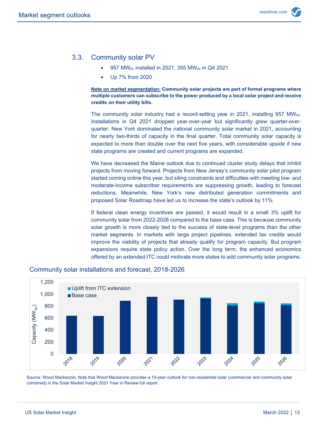### 3.3. Community solar PV

- <span id="page-12-0"></span>• 957 MWdc installed in 2021, 355 MWdc in Q4 2021
- Up 7% from 2020

**Note on market segmentation: Community solar projects are part of formal programs where multiple customers can subscribe to the power produced by a local solar project and receive credits on their utility bills.**

The community solar industry had a record-setting year in 2021, installing 957 MWdc. Installations in Q4 2021 dropped year-over-year but significantly grew quarter-overquarter. New York dominated the national community solar market in 2021, accounting for nearly two-thirds of capacity in the final quarter. Total community solar capacity is expected to more than double over the next five years, with considerable upside if new state programs are created and current programs are expanded.

We have decreased the Maine outlook due to continued cluster study delays that inhibit projects from moving forward. Projects from New Jersey's community solar pilot program started coming online this year, but siting constraints and difficulties with meeting low- and moderate-income subscriber requirements are suppressing growth, leading to forecast reductions. Meanwhile, New York's new distributed generation commitments and proposed Solar Roadmap have led us to increase the state's outlook by 11%.

If federal clean energy incentives are passed, it would result in a small 3% uplift for community solar from 2022-2026 compared to the base case. This is because community solar growth is more closely tied to the success of state-level programs than the other market segments. In markets with large project pipelines, extended tax credits would improve the viability of projects that already qualify for program capacity. But program expansions require state policy action. Over the long term, the enhanced economics offered by an extended ITC could motivate more states to add community solar programs.

#### Community solar installations and forecast, 2018-2026



Source: Wood Mackenzie; Note that Wood Mackenzie provides a 10-year outlook for non-residential solar (commercial and community solar combined) in the Solar Market Insight 2021 Year in Review full report.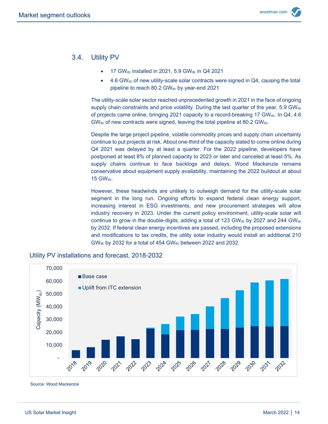#### <span id="page-13-0"></span>3.4. Utility PV

- 17 GWdc installed in 2021, 5.9 GWdc in Q4 2021
- 4.6 GWdc of new utility-scale solar contracts were signed in Q4, causing the total pipeline to reach 80.2 GW<sub>dc</sub> by year-end 2021

The utility-scale solar sector reached unprecedented growth in 2021 in the face of ongoing supply chain constraints and price volatility. During the last quarter of the year,  $5.9 \text{ GW}_{dc}$ of projects came online, bringing 2021 capacity to a record-breaking 17 GWdc. In Q4, 4.6 GWdc of new contracts were signed, leaving the total pipeline at 80.2 GWdc.

Despite the large project pipeline, volatile commodity prices and supply chain uncertainty continue to put projects at risk. About one-third of the capacity slated to come online during Q4 2021 was delayed by at least a quarter. For the 2022 pipeline, developers have postponed at least 8% of planned capacity to 2023 or later and canceled at least 5%. As supply chains continue to face backlogs and delays, Wood Mackenzie remains conservative about equipment supply availability, maintaining the 2022 buildout at about  $15$  GW $_{\text{dec.}}$ 

However, these headwinds are unlikely to outweigh demand for the utility-scale solar segment in the long run. Ongoing efforts to expand federal clean energy support, increasing interest in ESG investments, and new procurement strategies will allow industry recovery in 2023. Under the current policy environment, utility-scale solar will continue to grow in the double-digits, adding a total of 123 GW $_{dc}$  by 2027 and 244 GW $_{dc}$ by 2032. If federal clean energy incentives are passed, including the proposed extensions and modifications to tax credits, the utility solar industry would install an additional 210 GWdc by 2032 for a total of 454 GWdc between 2022 and 2032.



#### Utility PV installations and forecast, 2018-2032

Source: Wood Mackenzie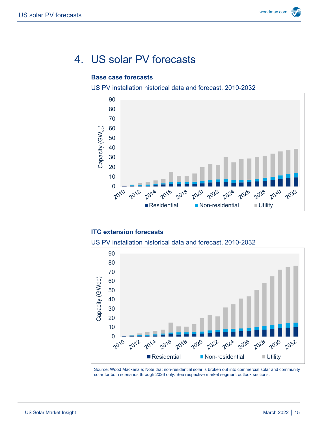# <span id="page-14-0"></span>4. US solar PV forecasts

#### **Base case forecasts**

US PV installation historical data and forecast, 2010-2032



#### **ITC extension forecasts**

US PV installation historical data and forecast, 2010-2032



Source: Wood Mackenzie; Note that non-residential solar is broken out into commercial solar and community solar for both scenarios through 2026 only. See respective market segment outlook sections.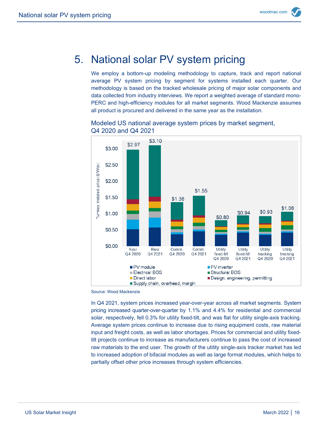## <span id="page-15-0"></span>5. National solar PV system pricing

We employ a bottom-up modeling methodology to capture, track and report national average PV system pricing by segment for systems installed each quarter. Our methodology is based on the tracked wholesale pricing of major solar components and data collected from industry interviews. We report a weighted average of standard mono-PERC and high-efficiency modules for all market segments. Wood Mackenzie assumes all product is procured and delivered in the same year as the installation.





Source: Wood Mackenzie

In Q4 2021, system prices increased year-over-year across all market segments. System pricing increased quarter-over-quarter by 1.1% and 4.4% for residential and commercial solar, respectively, fell 0.3% for utility fixed-tilt, and was flat for utility single-axis tracking. Average system prices continue to increase due to rising equipment costs, raw material input and freight costs, as well as labor shortages. Prices for commercial and utility fixedtilt projects continue to increase as manufacturers continue to pass the cost of increased raw materials to the end user. The growth of the utility single-axis tracker market has led to increased adoption of bifacial modules as well as large format modules, which helps to partially offset other price increases through system efficiencies.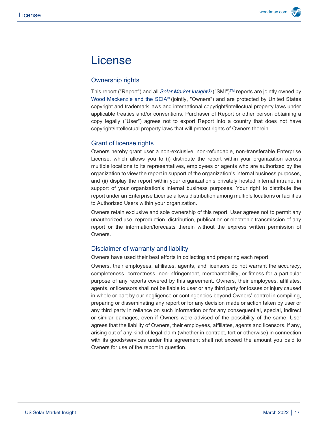# License

#### Ownership rights

This report ("Report") and all *Solar Market Insight®* ("SMI")TM reports are jointly owned by Wood Mackenzie and the SEIA® (jointly, "Owners") and are protected by United States copyright and trademark laws and international copyright/intellectual property laws under applicable treaties and/or conventions. Purchaser of Report or other person obtaining a copy legally ("User") agrees not to export Report into a country that does not have copyright/intellectual property laws that will protect rights of Owners therein.

#### Grant of license rights

Owners hereby grant user a non-exclusive, non-refundable, non-transferable Enterprise License, which allows you to (i) distribute the report within your organization across multiple locations to its representatives, employees or agents who are authorized by the organization to view the report in support of the organization's internal business purposes, and (ii) display the report within your organization's privately hosted internal intranet in support of your organization's internal business purposes. Your right to distribute the report under an Enterprise License allows distribution among multiple locations or facilities to Authorized Users within your organization.

Owners retain exclusive and sole ownership of this report. User agrees not to permit any unauthorized use, reproduction, distribution, publication or electronic transmission of any report or the information/forecasts therein without the express written permission of Owners.

#### Disclaimer of warranty and liability

Owners have used their best efforts in collecting and preparing each report.

Owners, their employees, affiliates, agents, and licensors do not warrant the accuracy, completeness, correctness, non-infringement, merchantability, or fitness for a particular purpose of any reports covered by this agreement. Owners, their employees, affiliates, agents, or licensors shall not be liable to user or any third party for losses or injury caused in whole or part by our negligence or contingencies beyond Owners' control in compiling, preparing or disseminating any report or for any decision made or action taken by user or any third party in reliance on such information or for any consequential, special, indirect or similar damages, even if Owners were advised of the possibility of the same. User agrees that the liability of Owners, their employees, affiliates, agents and licensors, if any, arising out of any kind of legal claim (whether in contract, tort or otherwise) in connection with its goods/services under this agreement shall not exceed the amount you paid to Owners for use of the report in question.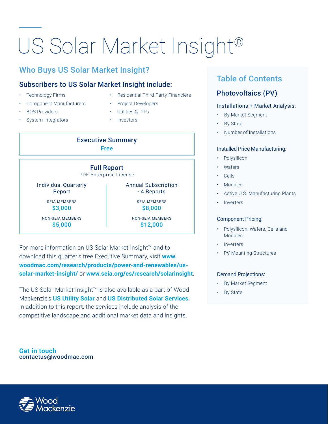# US Solar Market Insight®

## Who Buys US Solar Market Insight?

### Subscribers to US Solar Market Insight include:

- **Technology Firms**
- Component Manufacturers
- **BOS Providers**
- System Integrators
- Residential Third-Party Financiers
- Project Developers
- Utilities & IPPs
- Investors





For more information on US Solar Market Insight™ and to download this quarter's free Executive Summary, visit **www. woodmac.com/research/products/power-and-renewables/ussolar-market-insight/** or **www.seia.org/cs/research/solarinsight**.

The US Solar Market Insight™ is also available as a part of Wood Mackenzie's **US Utility Solar** and **US Distributed Solar Services**. In addition to this report, the services include analysis of the competitive landscape and additional market data and insights.

**Get in touch** contactus@woodmac.com

## Table of Contents

## Photovoltaics (PV)

#### Installations + Market Analysis:

- By Market Segment
- **By State**
- Number of Installations

#### Installed Price Manufacturing:

- **Polysilicon**
- **Wafers**
- Cells
- Modules
- Active U.S. Manufacturing Plants
- Inverters

#### Component Pricing:

- Polysilicon, Wafers, Cells and **Modules**
- **Inverters**
- PV Mounting Structures

#### Demand Projections:

- By Market Segment
- By State